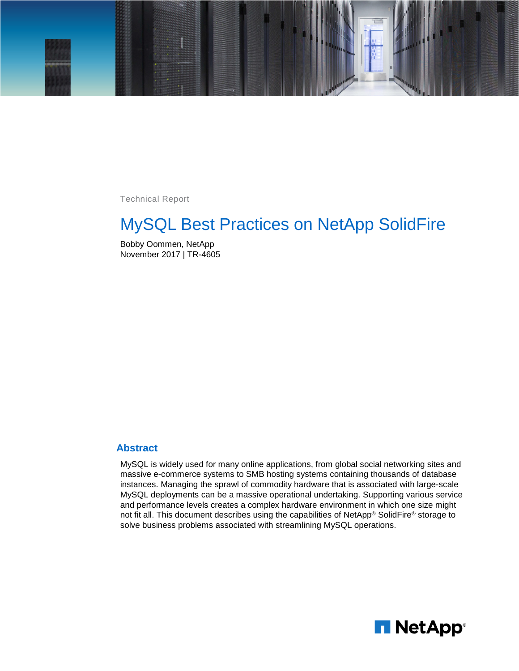

Technical Report

# MySQL Best Practices on NetApp SolidFire

Bobby Oommen, NetApp November 2017 | TR-4605

#### **Abstract**

MySQL is widely used for many online applications, from global social networking sites and massive e-commerce systems to SMB hosting systems containing thousands of database instances. Managing the sprawl of commodity hardware that is associated with large-scale MySQL deployments can be a massive operational undertaking. Supporting various service and performance levels creates a complex hardware environment in which one size might not fit all. This document describes using the capabilities of NetApp® SolidFire® storage to solve business problems associated with streamlining MySQL operations.

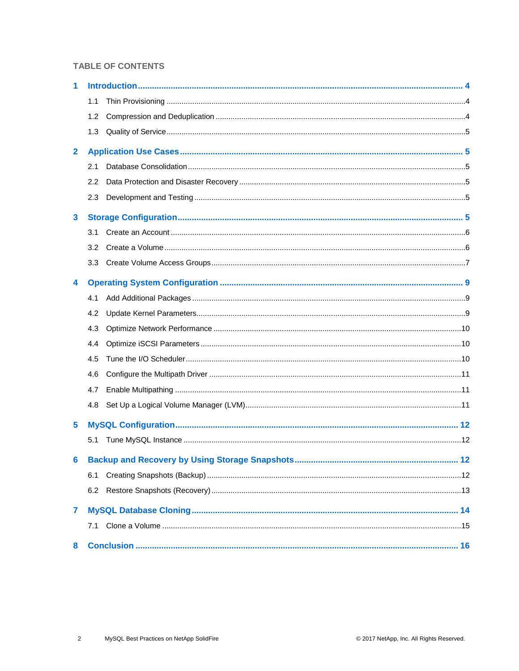#### **TABLE OF CONTENTS**

| 1              |                  |  |
|----------------|------------------|--|
|                | 1.1              |  |
|                | 1.2              |  |
|                | 1.3              |  |
| $\mathbf{2}$   |                  |  |
|                | 2.1              |  |
|                | 2.2              |  |
|                | 2.3              |  |
| 3              |                  |  |
|                | 3.1              |  |
|                | 3.2              |  |
|                | 3.3 <sub>2</sub> |  |
| 4              |                  |  |
|                | 4.1              |  |
|                | 4.2              |  |
|                | 4.3              |  |
|                | 4.4              |  |
|                | 4.5              |  |
|                | 4.6              |  |
|                | 4.7              |  |
|                | 4.8              |  |
| 5              |                  |  |
|                | 5.1              |  |
|                |                  |  |
|                | 6.1              |  |
|                | 6.2              |  |
| $\overline{7}$ |                  |  |
|                | 7.1              |  |
| 8              |                  |  |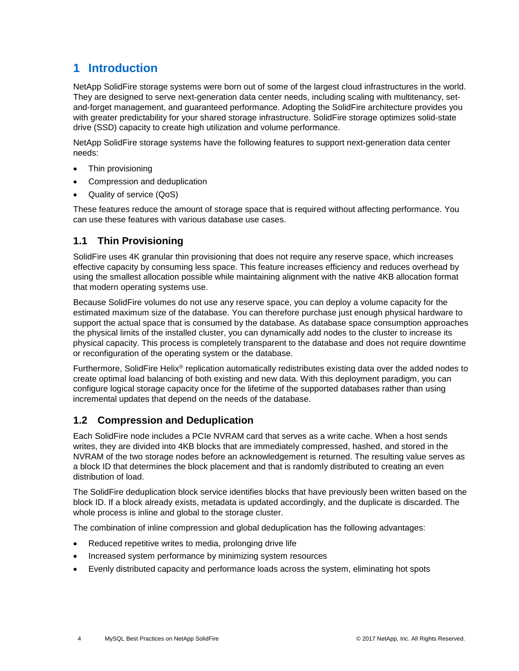# <span id="page-3-0"></span>**1 Introduction**

NetApp SolidFire storage systems were born out of some of the largest cloud infrastructures in the world. They are designed to serve next-generation data center needs, including scaling with multitenancy, setand-forget management, and guaranteed performance. Adopting the SolidFire architecture provides you with greater predictability for your shared storage infrastructure. SolidFire storage optimizes solid-state drive (SSD) capacity to create high utilization and volume performance.

NetApp SolidFire storage systems have the following features to support next-generation data center needs:

- Thin provisioning
- Compression and deduplication
- Quality of service (QoS)

These features reduce the amount of storage space that is required without affecting performance. You can use these features with various database use cases.

## <span id="page-3-1"></span>**1.1 Thin Provisioning**

SolidFire uses 4K granular thin provisioning that does not require any reserve space, which increases effective capacity by consuming less space. This feature increases efficiency and reduces overhead by using the smallest allocation possible while maintaining alignment with the native 4KB allocation format that modern operating systems use.

Because SolidFire volumes do not use any reserve space, you can deploy a volume capacity for the estimated maximum size of the database. You can therefore purchase just enough physical hardware to support the actual space that is consumed by the database. As database space consumption approaches the physical limits of the installed cluster, you can dynamically add nodes to the cluster to increase its physical capacity. This process is completely transparent to the database and does not require downtime or reconfiguration of the operating system or the database.

Furthermore, SolidFire Helix® replication automatically redistributes existing data over the added nodes to create optimal load balancing of both existing and new data. With this deployment paradigm, you can configure logical storage capacity once for the lifetime of the supported databases rather than using incremental updates that depend on the needs of the database.

### <span id="page-3-2"></span>**1.2 Compression and Deduplication**

Each SolidFire node includes a PCIe NVRAM card that serves as a write cache. When a host sends writes, they are divided into 4KB blocks that are immediately compressed, hashed, and stored in the NVRAM of the two storage nodes before an acknowledgement is returned. The resulting value serves as a block ID that determines the block placement and that is randomly distributed to creating an even distribution of load.

The SolidFire deduplication block service identifies blocks that have previously been written based on the block ID. If a block already exists, metadata is updated accordingly, and the duplicate is discarded. The whole process is inline and global to the storage cluster.

The combination of inline compression and global deduplication has the following advantages:

- Reduced repetitive writes to media, prolonging drive life
- Increased system performance by minimizing system resources
- Evenly distributed capacity and performance loads across the system, eliminating hot spots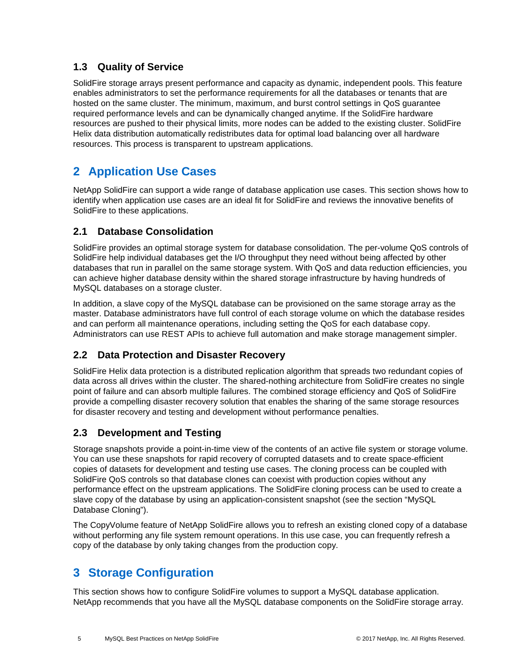### <span id="page-4-0"></span>**1.3 Quality of Service**

SolidFire storage arrays present performance and capacity as dynamic, independent pools. This feature enables administrators to set the performance requirements for all the databases or tenants that are hosted on the same cluster. The minimum, maximum, and burst control settings in QoS guarantee required performance levels and can be dynamically changed anytime. If the SolidFire hardware resources are pushed to their physical limits, more nodes can be added to the existing cluster. SolidFire Helix data distribution automatically redistributes data for optimal load balancing over all hardware resources. This process is transparent to upstream applications.

# <span id="page-4-1"></span>**2 Application Use Cases**

NetApp SolidFire can support a wide range of database application use cases. This section shows how to identify when application use cases are an ideal fit for SolidFire and reviews the innovative benefits of SolidFire to these applications.

### <span id="page-4-2"></span>**2.1 Database Consolidation**

SolidFire provides an optimal storage system for database consolidation. The per-volume QoS controls of SolidFire help individual databases get the I/O throughput they need without being affected by other databases that run in parallel on the same storage system. With QoS and data reduction efficiencies, you can achieve higher database density within the shared storage infrastructure by having hundreds of MySQL databases on a storage cluster.

In addition, a slave copy of the MySQL database can be provisioned on the same storage array as the master. Database administrators have full control of each storage volume on which the database resides and can perform all maintenance operations, including setting the QoS for each database copy. Administrators can use REST APIs to achieve full automation and make storage management simpler.

## <span id="page-4-3"></span>**2.2 Data Protection and Disaster Recovery**

SolidFire Helix data protection is a distributed replication algorithm that spreads two redundant copies of data across all drives within the cluster. The shared-nothing architecture from SolidFire creates no single point of failure and can absorb multiple failures. The combined storage efficiency and QoS of SolidFire provide a compelling disaster recovery solution that enables the sharing of the same storage resources for disaster recovery and testing and development without performance penalties.

## <span id="page-4-4"></span>**2.3 Development and Testing**

Storage snapshots provide a point-in-time view of the contents of an active file system or storage volume. You can use these snapshots for rapid recovery of corrupted datasets and to create space-efficient copies of datasets for development and testing use cases. The cloning process can be coupled with SolidFire QoS controls so that database clones can coexist with production copies without any performance effect on the upstream applications. The SolidFire cloning process can be used to create a slave copy of the database by using an application-consistent snapshot (see the section ["MySQL](#page-13-0) [Database Cloning"](#page-13-0)).

The CopyVolume feature of NetApp SolidFire allows you to refresh an existing cloned copy of a database without performing any file system remount operations. In this use case, you can frequently refresh a copy of the database by only taking changes from the production copy.

# <span id="page-4-5"></span>**3 Storage Configuration**

This section shows how to configure SolidFire volumes to support a MySQL database application. NetApp recommends that you have all the MySQL database components on the SolidFire storage array.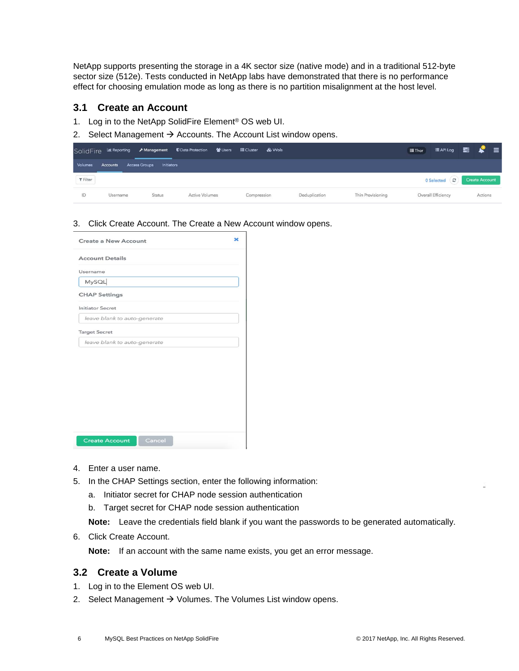NetApp supports presenting the storage in a 4K sector size (native mode) and in a traditional 512-byte sector size (512e). Tests conducted in NetApp labs have demonstrated that there is no performance effect for choosing emulation mode as long as there is no partition misalignment at the host level.

#### <span id="page-5-0"></span>**3.1 Create an Account**

- 1. Log in to the NetApp SolidFire Element® OS web UI.
- 2. Select Management  $\rightarrow$  Accounts. The Account List window opens.

|                             |          |                                    |                       |             |               |                   | <b>III</b> Thor | EAPILog <b>E</b>   | $\equiv$<br><b>P</b>  |
|-----------------------------|----------|------------------------------------|-----------------------|-------------|---------------|-------------------|-----------------|--------------------|-----------------------|
| Volumes                     | Accounts | <b>Access Groups</b><br>Initiators |                       |             |               |                   |                 |                    |                       |
| $\blacktriangledown$ Filter |          |                                    |                       |             |               |                   |                 | O Selected (C)     | <b>Create Account</b> |
| ID                          | Username | <b>Status</b>                      | <b>Active Volumes</b> | Compression | Deduplication | Thin Provisioning |                 | Overall Efficiency | Actions               |

3. Click Create Account. The Create a New Account window opens.

| <b>Create a New Account</b>     |  |
|---------------------------------|--|
| <b>Account Details</b>          |  |
| Username                        |  |
| MySQL                           |  |
| <b>CHAP Settings</b>            |  |
| <b>Initiator Secret</b>         |  |
| leave blank to auto-generate    |  |
| <b>Target Secret</b>            |  |
| leave blank to auto-generate    |  |
|                                 |  |
|                                 |  |
|                                 |  |
|                                 |  |
|                                 |  |
|                                 |  |
|                                 |  |
|                                 |  |
| <b>Create Account</b><br>Cancel |  |

- 4. Enter a user name.
- 5. In the CHAP Settings section, enter the following information:
	- a. Initiator secret for CHAP node session authentication
	- b. Target secret for CHAP node session authentication

**Note:** Leave the credentials field blank if you want the passwords to be generated automatically.

6. Click Create Account.

**Note:** If an account with the same name exists, you get an error message.

#### <span id="page-5-1"></span>**3.2 Create a Volume**

- 1. Log in to the Element OS web UI.
- 2. Select Management  $\rightarrow$  Volumes. The Volumes List window opens.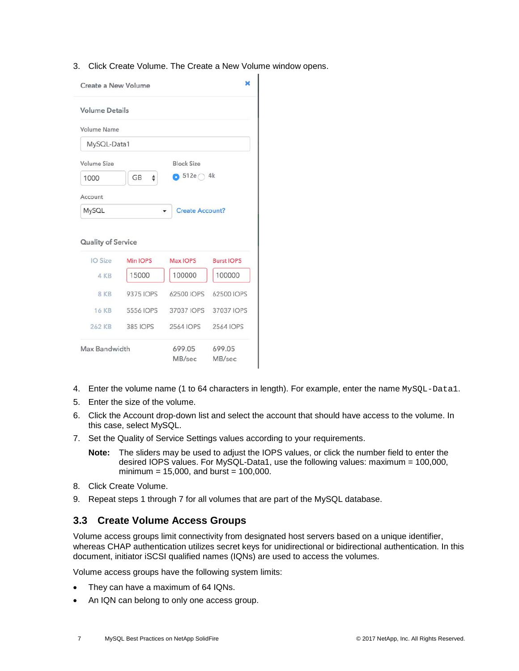3. Click Create Volume. The Create a New Volume window opens.

|             | ×<br>Create a New Volume<br><b>Volume Details</b><br>MySQL-Data1<br><b>Block Size</b><br>$\bullet$ 512e 4k<br><b>GB</b><br>÷<br><b>Create Account?</b><br><b>Quality of Service</b><br>IO Size<br>Min IOPS<br>Max IOPS<br><b>Burst IOPS</b><br>100000<br>100000<br>15000<br>4 KB<br>8 KB<br>9375 IOPS<br>62500 IOPS<br>62500 IOPS<br><b>16 KB</b><br>5556 IOPS<br>37037 IOPS<br>37037 IOPS |                  |           |
|-------------|--------------------------------------------------------------------------------------------------------------------------------------------------------------------------------------------------------------------------------------------------------------------------------------------------------------------------------------------------------------------------------------------|------------------|-----------|
|             |                                                                                                                                                                                                                                                                                                                                                                                            |                  |           |
| Volume Name |                                                                                                                                                                                                                                                                                                                                                                                            |                  |           |
|             |                                                                                                                                                                                                                                                                                                                                                                                            |                  |           |
| Volume Size |                                                                                                                                                                                                                                                                                                                                                                                            |                  |           |
| 1000        |                                                                                                                                                                                                                                                                                                                                                                                            |                  |           |
| Account     |                                                                                                                                                                                                                                                                                                                                                                                            |                  |           |
| MySQL       |                                                                                                                                                                                                                                                                                                                                                                                            |                  |           |
|             |                                                                                                                                                                                                                                                                                                                                                                                            |                  |           |
|             |                                                                                                                                                                                                                                                                                                                                                                                            |                  |           |
|             |                                                                                                                                                                                                                                                                                                                                                                                            |                  |           |
|             |                                                                                                                                                                                                                                                                                                                                                                                            |                  |           |
|             |                                                                                                                                                                                                                                                                                                                                                                                            |                  |           |
| 262 KB      | <b>385 IOPS</b>                                                                                                                                                                                                                                                                                                                                                                            | <b>2564 IOPS</b> | 2564 IOPS |

- 4. Enter the volume name (1 to 64 characters in length). For example, enter the name MySQL-Data1.
- 5. Enter the size of the volume.
- 6. Click the Account drop-down list and select the account that should have access to the volume. In this case, select MySQL.
- 7. Set the Quality of Service Settings values according to your requirements.
	- **Note:** The sliders may be used to adjust the IOPS values, or click the number field to enter the desired IOPS values. For MySQL-Data1, use the following values: maximum = 100,000, minimum =  $15,000$ , and burst =  $100,000$ .
- 8. Click Create Volume.
- 9. Repeat steps 1 through 7 for all volumes that are part of the MySQL database.

#### <span id="page-6-0"></span>**3.3 Create Volume Access Groups**

Volume access groups limit connectivity from designated host servers based on a unique identifier, whereas CHAP authentication utilizes secret keys for unidirectional or bidirectional authentication. In this document, initiator iSCSI qualified names (IQNs) are used to access the volumes.

Volume access groups have the following system limits:

- They can have a maximum of 64 IQNs.
- An IQN can belong to only one access group.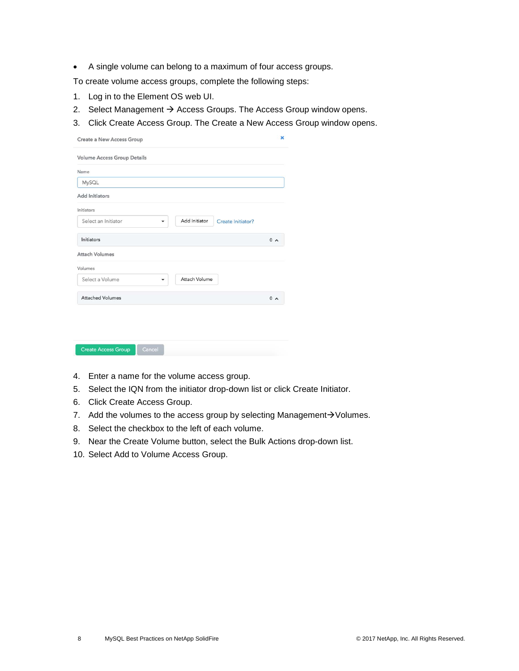• A single volume can belong to a maximum of four access groups.

To create volume access groups, complete the following steps:

- 1. Log in to the Element OS web UI.
- 2. Select Management  $\rightarrow$  Access Groups. The Access Group window opens.
- 3. Click Create Access Group. The Create a New Access Group window opens.

| 0 <sub>0</sub> |
|----------------|
|                |
|                |
|                |
| 0 <sub>0</sub> |
|                |
|                |

- 4. Enter a name for the volume access group.
- 5. Select the IQN from the initiator drop-down list or click Create Initiator.
- 6. Click Create Access Group.
- 7. Add the volumes to the access group by selecting Management $\rightarrow$ Volumes.
- 8. Select the checkbox to the left of each volume.
- 9. Near the Create Volume button, select the Bulk Actions drop-down list.
- 10. Select Add to Volume Access Group.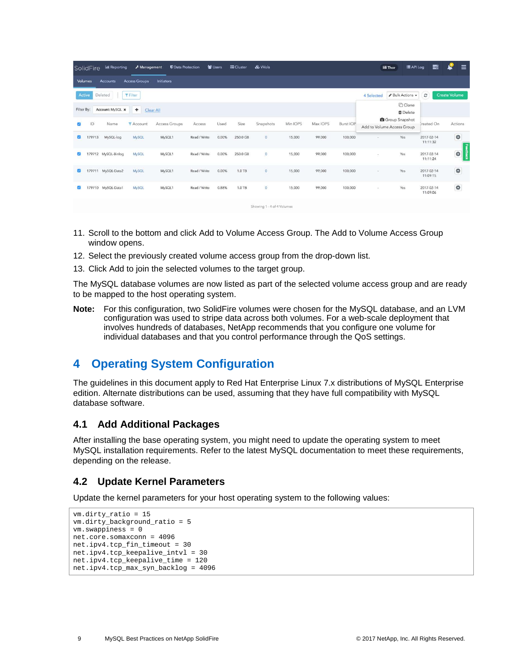|            | SolidFire      | <b>I.L. Reporting</b> | Management           | <b>U</b> Data Protection |              | <b>皆 Users</b> | <b>■ Cluster</b> | & Wols                     |          |          |           | 量Thor                      | E API Log                                        | 暠                      | S<br>$\equiv$        |
|------------|----------------|-----------------------|----------------------|--------------------------|--------------|----------------|------------------|----------------------------|----------|----------|-----------|----------------------------|--------------------------------------------------|------------------------|----------------------|
|            | <b>Volumes</b> | <b>Accounts</b>       | <b>Access Groups</b> | <b>Initiators</b>        |              |                |                  |                            |          |          |           |                            |                                                  |                        |                      |
|            | Active         | Deleted               | <b>T</b> Filter      |                          |              |                |                  |                            |          |          |           | 4 Selected                 | ● Bulk Actions ▼                                 | $\mathcal{Z}$          | <b>Create Volume</b> |
| Filter By: |                | Account: MySQL x      | ٠                    | Clear All                |              |                |                  |                            |          |          |           |                            | <b>门</b> Clone<br><b><i><u>OD</u></i></b> Delete |                        |                      |
| $\sim$     | ID             | Name                  | <b>T</b> Account     | Access Groups            | Access       | Used           | Size             | Snapshots                  | Min IOPS | Max IOPS | Burst IOP | Add to Volume Access Group | Group Snapshot                                   | treated On             | <b>Actions</b>       |
| ø          | 179713         | MySQL-log             | MySQL                | MySQL1                   | Read / Write | 0.00%          | 250.0 GB         | $\bullet$                  | 15,000   | 99,000   | 100,000   | ×                          | Yes                                              | 2017-02-14<br>11:11:32 | ¢                    |
|            |                | 179712 MySQL-Binlog   | <b>MySQL</b>         | MySQL1                   | Read / Write | 0.00%          | 250.0 GB         | $\mathbf{0}$               | 15,000   | 99,000   | 100,000   | ×                          | Yes                                              | 2017-02-14<br>11:11:24 | Feedback<br>¢        |
| ø          |                | 179711 MySQL-Data2    | <b>MySQL</b>         | MySQL1                   | Read / Write | 0.00%          | 1.0 TB           | $\overline{0}$             | 15,000   | 99,000   | 100,000   | ×                          | Yes                                              | 2017-02-14<br>11:09:15 | 券                    |
| M          |                | 179710 MySQL-Data1    | <b>MySQL</b>         | MySQL1                   | Read / Write | 0.88%          | 1.0 TB           | $\mathbf{0}$               | 15,000   | 99,000   | 100,000   | $\cdot$                    | Yes                                              | 2017-02-14<br>11:09:06 | 烧                    |
|            |                |                       |                      |                          |              |                |                  | Showing 1 - 4 of 4 Volumes |          |          |           |                            |                                                  |                        |                      |

- 11. Scroll to the bottom and click Add to Volume Access Group. The Add to Volume Access Group window opens.
- 12. Select the previously created volume access group from the drop-down list.
- 13. Click Add to join the selected volumes to the target group.

The MySQL database volumes are now listed as part of the selected volume access group and are ready to be mapped to the host operating system.

**Note:** For this configuration, two SolidFire volumes were chosen for the MySQL database, and an LVM configuration was used to stripe data across both volumes. For a web-scale deployment that involves hundreds of databases, NetApp recommends that you configure one volume for individual databases and that you control performance through the QoS settings.

# <span id="page-8-0"></span>**4 Operating System Configuration**

The guidelines in this document apply to Red Hat Enterprise Linux 7.x distributions of MySQL Enterprise edition. Alternate distributions can be used, assuming that they have full compatibility with MySQL database software.

### <span id="page-8-1"></span>**4.1 Add Additional Packages**

After installing the base operating system, you might need to update the operating system to meet MySQL installation requirements. Refer to the latest MySQL documentation to meet these requirements, depending on the release.

### <span id="page-8-2"></span>**4.2 Update Kernel Parameters**

Update the kernel parameters for your host operating system to the following values:

```
vm.dirty_ratio = 15
vm.dirty_background_ratio = 5
vm.swappiness = 0
net.core.somaxconn = 4096
net.ipv4.tcp_fin_timeout = 30
net.ipv4.tcp_keepalive_intvl = 30
net.ipv4.tcp_keepalive_time = 120
net.ipv4.tcp_max_syn_backlog = 4096
```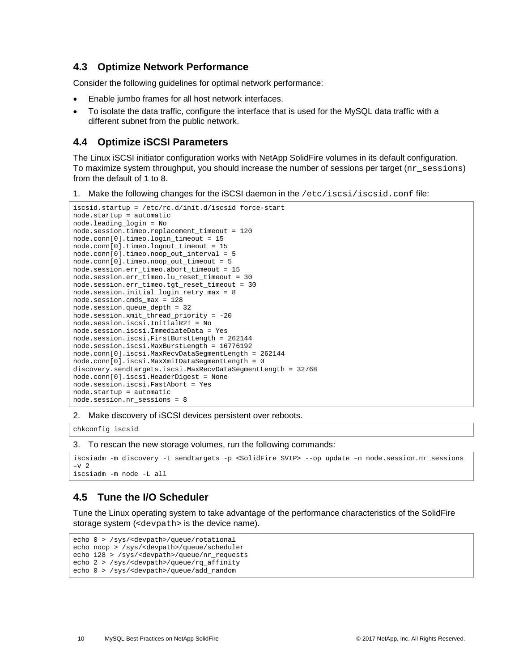#### <span id="page-9-0"></span>**4.3 Optimize Network Performance**

Consider the following guidelines for optimal network performance:

- Enable jumbo frames for all host network interfaces.
- To isolate the data traffic, configure the interface that is used for the MySQL data traffic with a different subnet from the public network.

### <span id="page-9-1"></span>**4.4 Optimize iSCSI Parameters**

The Linux iSCSI initiator configuration works with NetApp SolidFire volumes in its default configuration. To maximize system throughput, you should increase the number of sessions per target (nr\_sessions) from the default of 1 to 8.

1. Make the following changes for the iSCSI daemon in the /etc/iscsi/iscsid.conf file:

```
iscsid.startup = /etc/rc.d/init.d/iscsid force-start
node.startup = automatic
node.leading_login = No
node.session.timeo.replacement_timeout = 120
node.conn[0].timeo.login_timeout = 15
node.conn[0].timeo.logout_timeout = 15
node.conn[0].timeo.noop_out_interval = 5
node.conn[0].timeo.noop_out_timeout = 5
node.session.err_timeo.abort_timeout = 15
node.session.err_timeo.lu_reset_timeout = 30
node.session.err_timeo.tgt_reset_timeout = 30
node.session.initial_login_retry_max = 8
node.session.cmds_max = 128
node.session.queue_depth = 32
node.session.xmit_thread_priority = -20
node.session.iscsi.InitialR2T = No
node.session.iscsi.ImmediateData = Yes
node.session.iscsi.FirstBurstLength = 262144
node.session.iscsi.MaxBurstLength = 16776192
node.conn[0].iscsi.MaxRecvDataSegmentLength = 262144
node.conn[0].iscsi.MaxXmitDataSegmentLength = 0
discovery.sendtargets.iscsi.MaxRecvDataSegmentLength = 32768
node.conn[0].iscsi.HeaderDigest = None
node.session.iscsi.FastAbort = Yes
node.startup = automatic
node.session.nr_sessions = 8
```
2. Make discovery of iSCSI devices persistent over reboots.

chkconfig iscsid

#### 3. To rescan the new storage volumes, run the following commands:

```
iscsiadm -m discovery -t sendtargets -p <SolidFire SVIP> --op update –n node.session.nr_sessions
-v 2
iscsiadm -m node -L all
```
## <span id="page-9-2"></span>**4.5 Tune the I/O Scheduler**

Tune the Linux operating system to take advantage of the performance characteristics of the SolidFire storage system (<devpath> is the device name).

```
echo 0 > /sys/<devpath>/queue/rotational 
echo noop > /sys/<devpath>/queue/scheduler 
echo 128 > /sys/<devpath>/queue/nr_requests 
echo 2 > /sys/<devpath>/queue/rq_affinity 
echo 0 > /sys/<devpath>/queue/add_random
```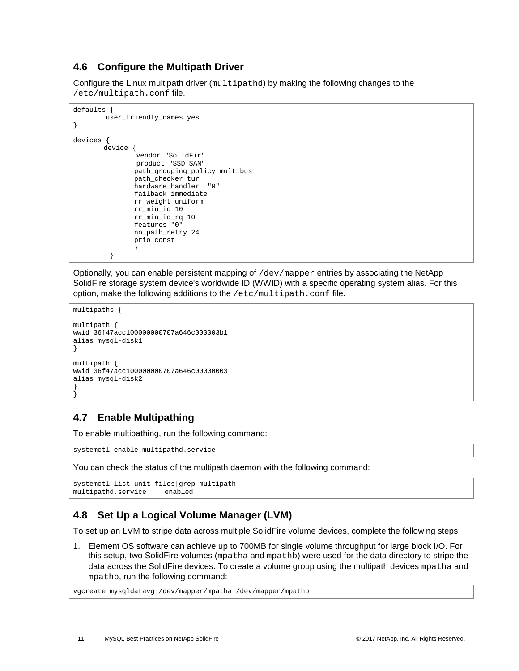### <span id="page-10-0"></span>**4.6 Configure the Multipath Driver**

Configure the Linux multipath driver (multipathd) by making the following changes to the /etc/multipath.conf file.

```
defaults {
         user_friendly_names yes
}
devices {
       device {
                vendor "SolidFir" 
                product "SSD SAN"
               path_grouping_policy multibus 
                path_checker tur 
                hardware_handler "0" 
               failback immediate
                rr_weight uniform 
                rr_min_io 10
               rr_min_io_rq 10
               features "0"
                no_path_retry 24 
                prio const
 }
          }
```
Optionally, you can enable persistent mapping of  $/$ dev $/$ mapper entries by associating the NetApp SolidFire storage system device's worldwide ID (WWID) with a specific operating system alias. For this option, make the following additions to the /etc/multipath.conf file.

```
multipaths {
multipath {
wwid 36f47acc100000000707a646c000003b1
alias mysql-disk1
}
multipath {
wwid 36f47acc100000000707a646c00000003
alias mysql-disk2
}
}
```
## <span id="page-10-1"></span>**4.7 Enable Multipathing**

To enable multipathing, run the following command:

systemctl enable multipathd.service

You can check the status of the multipath daemon with the following command:

```
systemctl list-unit-files|grep multipath<br>multipathd.service enabled
multipathd.service
```
## <span id="page-10-2"></span>**4.8 Set Up a Logical Volume Manager (LVM)**

To set up an LVM to stripe data across multiple SolidFire volume devices, complete the following steps:

1. Element OS software can achieve up to 700MB for single volume throughput for large block I/O. For this setup, two SolidFire volumes (mpatha and mpathb) were used for the data directory to stripe the data across the SolidFire devices. To create a volume group using the multipath devices mpatha and mpathb, run the following command:

vgcreate mysqldatavg /dev/mapper/mpatha /dev/mapper/mpathb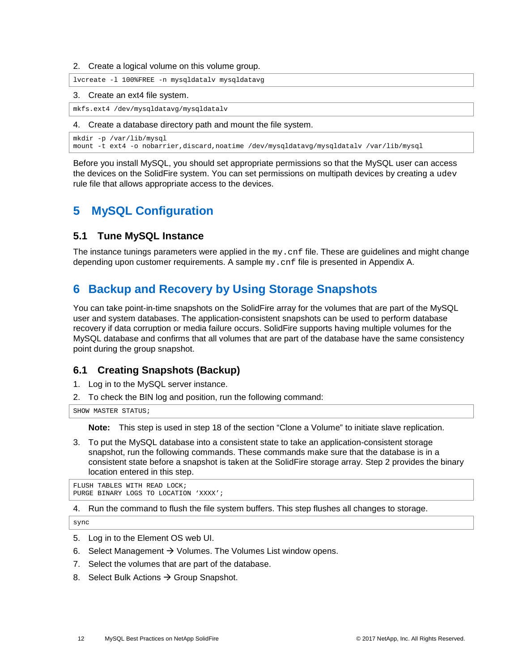2. Create a logical volume on this volume group.

lvcreate -l 100%FREE -n mysqldatalv mysqldatavg

#### 3. Create an ext4 file system.

mkfs.ext4 /dev/mysqldatavg/mysqldatalv

#### 4. Create a database directory path and mount the file system.

```
mkdir -p /var/lib/mysql
mount -t ext4 -o nobarrier,discard,noatime /dev/mysqldatavg/mysqldatalv /var/lib/mysql
```
Before you install MySQL, you should set appropriate permissions so that the MySQL user can access the devices on the SolidFire system. You can set permissions on multipath devices by creating a udev rule file that allows appropriate access to the devices.

# <span id="page-11-0"></span>**5 MySQL Configuration**

#### <span id="page-11-1"></span>**5.1 Tune MySQL Instance**

The instance tunings parameters were applied in the  $my$  cnf file. These are guidelines and might change depending upon customer requirements. A sample my.cnf file is presented in Appendix A.

# <span id="page-11-2"></span>**6 Backup and Recovery by Using Storage Snapshots**

You can take point-in-time snapshots on the SolidFire array for the volumes that are part of the MySQL user and system databases. The application-consistent snapshots can be used to perform database recovery if data corruption or media failure occurs. SolidFire supports having multiple volumes for the MySQL database and confirms that all volumes that are part of the database have the same consistency point during the group snapshot.

#### <span id="page-11-3"></span>**6.1 Creating Snapshots (Backup)**

- 1. Log in to the MySQL server instance.
- 2. To check the BIN log and position, run the following command:

SHOW MASTER STATUS;

**Note:** This step is used in step 18 of the section ["Clone a Volume"](#page-14-0) to initiate slave replication.

3. To put the MySQL database into a consistent state to take an application-consistent storage snapshot, run the following commands. These commands make sure that the database is in a consistent state before a snapshot is taken at the SolidFire storage array. Step 2 provides the binary location entered in this step.

FLUSH TABLES WITH READ LOCK; PURGE BINARY LOGS TO LOCATION 'XXXX';

4. Run the command to flush the file system buffers. This step flushes all changes to storage.

sync

- 5. Log in to the Element OS web UI.
- 6. Select Management  $\rightarrow$  Volumes. The Volumes List window opens.
- 7. Select the volumes that are part of the database.
- 8. Select Bulk Actions  $\rightarrow$  Group Snapshot.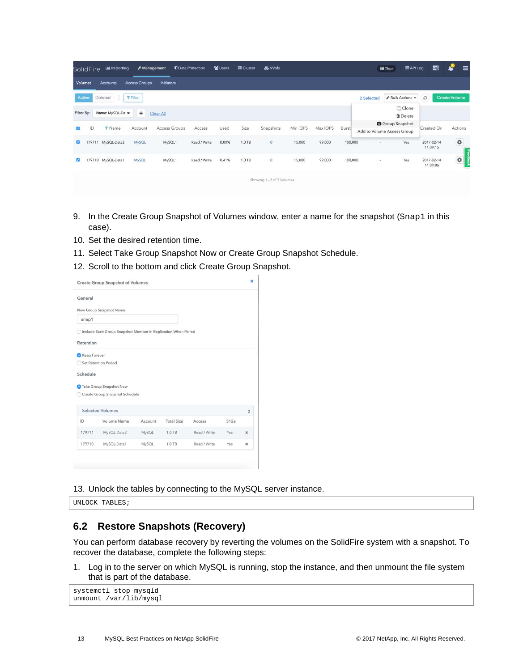|            | <b>SolidFire</b> | Lill Reporting     |                      | & Management      | <b><i>U</i></b> Data Protection | <b>替 Users</b> | <b>BE</b> Cluster | & Wols                     |          |          |         |            | <b>IE API Log</b><br>量Thor                      |                        | Ł<br>〓               | $\equiv$ |
|------------|------------------|--------------------|----------------------|-------------------|---------------------------------|----------------|-------------------|----------------------------|----------|----------|---------|------------|-------------------------------------------------|------------------------|----------------------|----------|
| Volumes    |                  | Accounts           | <b>Access Groups</b> | <b>Initiators</b> |                                 |                |                   |                            |          |          |         |            |                                                 |                        |                      |          |
| Active     |                  | Deleted            | <b>T</b> Filter      |                   |                                 |                |                   |                            |          |          |         | 2 Selected | Bulk Actions +                                  | c                      | <b>Create Volume</b> |          |
| Filter By: |                  | Name: MySQL-Da x   | $+$                  | Clear All         |                                 |                |                   |                            |          |          |         |            | <b>门 Clone</b><br><b><i><u>O</u></i></b> Delete |                        |                      |          |
|            | ID               | <b>T</b> Name      | Account              | Access Groups     | Access                          | Used           | Size              | Snapshots                  | Min IOPS | Max IOPS | Burst   |            | Group Snapshot<br>Add to Volume Access Group    | Created On             | Actions              |          |
|            |                  | 179711 MySQL-Data2 | <b>MySQL</b>         | MySQL1            | Read / Write                    | 0.00%          | 1.0 TB            | $\overline{\mathbf{0}}$    | 15,000   | 99,000   | 100,000 | $\sim$     | Yes                                             | 2017-02-14<br>11:09:15 | ¢                    | Ţ        |
|            |                  | 179710 MySQL-Data1 | <b>MySQL</b>         | MySQL1            | Read / Write                    | 0.41%          | 1.0 TB            | $\pmb{0}$                  | 15,000   | 99,000   | 100,000 | ×          | Yes                                             | 2017-02-14<br>11:09:06 | ¢                    |          |
|            |                  |                    |                      |                   |                                 |                |                   | Showing 1 - 2 of 2 Volumes |          |          |         |            |                                                 |                        |                      |          |

- 9. In the Create Group Snapshot of Volumes window, enter a name for the snapshot (Snap1 in this case).
- 10. Set the desired retention time.
- 11. Select Take Group Snapshot Now or Create Group Snapshot Schedule.
- 12. Scroll to the bottom and click Create Group Snapshot.

| General      |                                                               |         |                   |              |      |                          |
|--------------|---------------------------------------------------------------|---------|-------------------|--------------|------|--------------------------|
|              | New Group Snapshot Name                                       |         |                   |              |      |                          |
| snap1        |                                                               |         |                   |              |      |                          |
|              | Include Each Group Snapshot Member in Replication When Paired |         |                   |              |      |                          |
| Retention    |                                                               |         |                   |              |      |                          |
| Keep Forever |                                                               |         |                   |              |      |                          |
| 50           | <b>Set Retention Period</b>                                   |         |                   |              |      |                          |
| Schedule     |                                                               |         |                   |              |      |                          |
|              |                                                               |         |                   |              |      |                          |
|              | Take Group Snapshot Now                                       |         |                   |              |      |                          |
|              | Create Group Snapshot Schedule                                |         |                   |              |      |                          |
|              | <b>Selected Volumes</b>                                       |         |                   |              |      | $\overline{2}$           |
| ID           | Volume Name                                                   | Account | <b>Total Size</b> | Access       | 512e |                          |
| 179711       | MySQL-Data2                                                   | MySQL   | 1.0 TB            | Read / Write | Yes  | $\boldsymbol{\varkappa}$ |

13. Unlock the tables by connecting to the MySQL server instance.

UNLOCK TABLES;

### <span id="page-12-0"></span>**6.2 Restore Snapshots (Recovery)**

You can perform database recovery by reverting the volumes on the SolidFire system with a snapshot. To recover the database, complete the following steps:

1. Log in to the server on which MySQL is running, stop the instance, and then unmount the file system that is part of the database.

```
systemctl stop mysqld
unmount /var/lib/mysql
```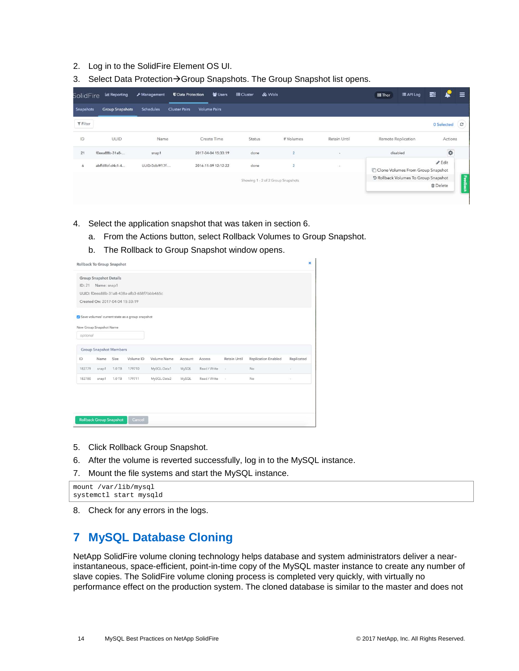- 2. Log in to the SolidFire Element OS UI.
- 3. Select Data Protection > Group Snapshots. The Group Snapshot list opens.

| SolidFire       | <b>I.I.I.</b> Reporting | & Management     | <b><i>U</i></b> Data Protection | ₩ Users             | Cluster | & Wols                             |              | <b>ill Thor</b>    | E API Log                            | 畺              |                   | $\equiv$         |
|-----------------|-------------------------|------------------|---------------------------------|---------------------|---------|------------------------------------|--------------|--------------------|--------------------------------------|----------------|-------------------|------------------|
| Snapshots       | <b>Group Snapshots</b>  | <b>Schedules</b> | <b>Cluster Pairs</b>            | <b>Volume Pairs</b> |         |                                    |              |                    |                                      |                |                   |                  |
| <b>T</b> Filter |                         |                  |                                 |                     |         |                                    |              |                    |                                      |                | 0 Selected        | $\boldsymbol{c}$ |
| ID              | UUID                    | Name             |                                 | Create Time         | Status  | # Volumes                          | Retain Until | Remote Replication |                                      |                | Actions           |                  |
| 21              | f0eea88b-31a8-          | snap1            |                                 | 2017-04-04 15:33:19 | done    | $\overline{2}$                     | ٠            |                    | disabled                             |                | ¢                 |                  |
| 6               | abffd8bf-d4c1-4         | UUID-0db9f17f-   |                                 | 2016-11-09 12:12:22 | done    | $\overline{2}$                     | ÷            |                    | Clone Volumes From Group Snapshot    |                | $\mathscr F$ Edit |                  |
|                 |                         |                  |                                 |                     |         | Showing 1 - 2 of 2 Group Snapshots |              |                    | D Rollback Volumes To Group Snapshot |                |                   | Feedbac          |
|                 |                         |                  |                                 |                     |         |                                    |              |                    |                                      | <b>自Delete</b> |                   | - 朵              |

- 4. Select the application snapshot that was taken in section 6.
	- a. From the Actions button, select Rollback Volumes to Group Snapshot.
	- b. The Rollback to Group Snapshot window opens.

|                                                                            |             | Rollback To Group Snapshot |                                                 |             |         |              |              |                            | ×          |
|----------------------------------------------------------------------------|-------------|----------------------------|-------------------------------------------------|-------------|---------|--------------|--------------|----------------------------|------------|
| <b>Group Snapshot Details</b><br>ID: 21<br>Created On: 2017-04-04 15:33:19 | Name: snap1 |                            | UUID: f0eea88b-31a8-438a-afb3-658f7bbb465c      |             |         |              |              |                            |            |
| New Group Snapshot Name                                                    |             |                            | Save volumes' current state as a group snapshot |             |         |              |              |                            |            |
| optional                                                                   |             |                            |                                                 |             |         |              |              |                            |            |
| <b>Group Snapshot Members</b>                                              |             |                            |                                                 |             |         |              |              |                            |            |
| ID                                                                         | Name        | Size                       | Volume ID                                       | Volume Name | Account | Access       | Retain Until | <b>Replication Enabled</b> | Replicated |
| 182779                                                                     | snap1       | 1.0 TB                     | 179710                                          | MySQL-Data1 | MySQL   | Read / Write | s            | No                         |            |
| 182780                                                                     | snap1       | 1.0 TB                     | 179711                                          | MySQL-Data2 | MySQL   | Read / Write | $\sim$       | No                         | ×          |

- 5. Click Rollback Group Snapshot.
- 6. After the volume is reverted successfully, log in to the MySQL instance.
- 7. Mount the file systems and start the MySQL instance.

mount /var/lib/mysql systemctl start mysqld

<span id="page-13-0"></span>8. Check for any errors in the logs.

## **7 MySQL Database Cloning**

NetApp SolidFire volume cloning technology helps database and system administrators deliver a nearinstantaneous, space-efficient, point-in-time copy of the MySQL master instance to create any number of slave copies. The SolidFire volume cloning process is completed very quickly, with virtually no performance effect on the production system. The cloned database is similar to the master and does not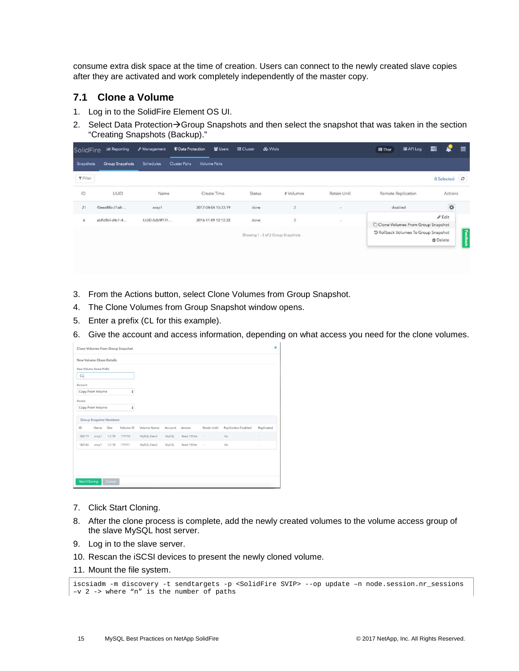consume extra disk space at the time of creation. Users can connect to the newly created slave copies after they are activated and work completely independently of the master copy.

#### <span id="page-14-0"></span>**7.1 Clone a Volume**

- 1. Log in to the SolidFire Element OS UI.
- 2. Select Data Protection $\rightarrow$ Group Snapshots and then select the snapshot that was taken in the section ["Creating Snapshots \(Backup\).](#page-11-3)"

| <b>SolidFire</b> | <b>ILL</b> Reporting   | Management     | <b><i>U</i></b> Data Protection | 警 Users             | <b>图 Cluster</b> | & Wols |                                    |                          | <b>Thor</b> | E API Log                            | 〓               |                | Ξ                |
|------------------|------------------------|----------------|---------------------------------|---------------------|------------------|--------|------------------------------------|--------------------------|-------------|--------------------------------------|-----------------|----------------|------------------|
| Snapshots        | <b>Group Snapshots</b> | Schedules      | <b>Cluster Pairs</b>            | <b>Volume Pairs</b> |                  |        |                                    |                          |             |                                      |                 |                |                  |
| $T$ Filter       |                        |                |                                 |                     |                  |        |                                    |                          |             |                                      |                 | 0 Selected     | $\boldsymbol{c}$ |
| ID               | <b>UUID</b>            | Name           |                                 | Create Time         | Status           |        | # Volumes                          | Retain Until             |             | Remote Replication                   |                 | Actions        |                  |
| 21               | f0eea88b-31a8-         | snap1          |                                 | 2017-04-04 15:33:19 | done             |        | $\overline{2}$                     | $\overline{\phantom{a}}$ |             | disabled                             |                 | $\ddot{\circ}$ |                  |
| 6                | abffd8bf-d4c1-4        | UUID-0db9f17f- |                                 | 2016-11-09 12:12:22 | done             |        | $\overline{2}$                     | $\sim$                   |             |                                      |                 | $\ell$ Edit    |                  |
|                  |                        |                |                                 |                     |                  |        |                                    |                          |             | Clone Volumes From Group Snapshot    |                 |                |                  |
|                  |                        |                |                                 |                     |                  |        | Showing 1 - 2 of 2 Group Snapshots |                          |             | 9 Rollback Volumes To Group Snapshot |                 |                |                  |
|                  |                        |                |                                 |                     |                  |        |                                    |                          |             |                                      | <b>自</b> Delete |                | <b>Feedback</b>  |
|                  |                        |                |                                 |                     |                  |        |                                    |                          |             |                                      |                 |                |                  |
|                  |                        |                |                                 |                     |                  |        |                                    |                          |             |                                      |                 |                |                  |
|                  |                        |                |                                 |                     |                  |        |                                    |                          |             |                                      |                 |                |                  |

- 3. From the Actions button, select Clone Volumes from Group Snapshot.
- 4. The Clone Volumes from Group Snapshot window opens.
- 5. Enter a prefix (CL for this example).
- 6. Give the account and access information, depending on what access you need for the clone volumes.

| New Volume Name Prefix<br>CL<br>Account<br>$\frac{\mathrm{A}}{\mathrm{V}}$<br>Copy From Volume<br>Access<br>Copy From Volume<br>÷ |            |
|-----------------------------------------------------------------------------------------------------------------------------------|------------|
|                                                                                                                                   |            |
|                                                                                                                                   |            |
|                                                                                                                                   |            |
|                                                                                                                                   |            |
|                                                                                                                                   |            |
|                                                                                                                                   |            |
| <b>Group Snapshot Members</b>                                                                                                     |            |
| ID<br>Size<br>Volume ID<br>Volume Name<br>Retain Until<br><b>Replication Enabled</b><br>Name<br>Access<br>Account                 | Replicated |
| MySQL-Data1<br>Read / Write<br>182779<br>1.0 TB<br>179710<br>MySQL<br>No<br>snap1<br>$\epsilon$                                   | ×          |
| 182780<br>MySQL-Data2<br>MySQL<br>Read / Write<br>1.0 TB<br>179711<br>No<br>snap1<br>$\alpha$                                     | $\sim$     |
|                                                                                                                                   |            |
|                                                                                                                                   |            |

- 7. Click Start Cloning.
- 8. After the clone process is complete, add the newly created volumes to the volume access group of the slave MySQL host server.
- 9. Log in to the slave server.
- 10. Rescan the iSCSI devices to present the newly cloned volume.
- 11. Mount the file system.

iscsiadm -m discovery -t sendtargets -p <SolidFire SVIP> --op update –n node.session.nr\_sessions –v 2 -> where "n" is the number of paths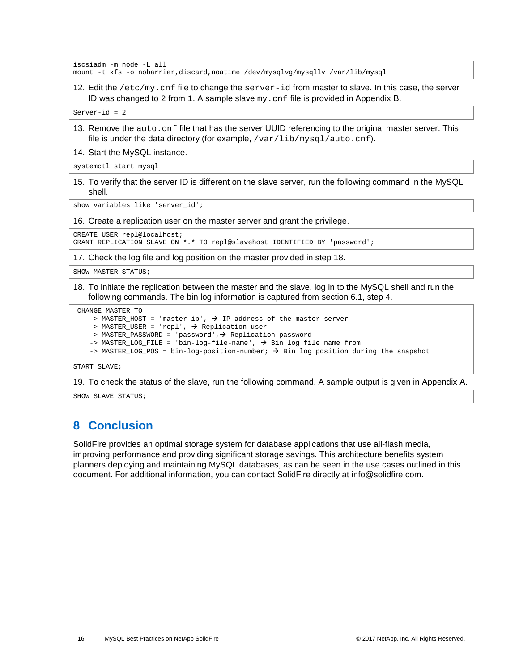```
iscsiadm -m node -L all
mount -t xfs -o nobarrier,discard,noatime /dev/mysqlvg/mysqllv /var/lib/mysql
```
12. Edit the /etc/my.cnf file to change the server-id from master to slave. In this case, the server ID was changed to 2 from  $1.$  A sample slave  $my$ . cnf file is provided in Appendix B.

Server-id = 2

13. Remove the auto.cnf file that has the server UUID referencing to the original master server. This file is under the data directory (for example, /var/lib/mysql/auto.cnf).

#### 14. Start the MySQL instance.

systemctl start mysql

15. To verify that the server ID is different on the slave server, run the following command in the MySQL shell.

show variables like 'server\_id';

16. Create a replication user on the master server and grant the privilege.

CREATE USER repl@localhost; GRANT REPLICATION SLAVE ON \*.\* TO repl@slavehost IDENTIFIED BY 'password';

17. Check the log file and log position on the master provided in step 18.

SHOW MASTER STATUS;

18. To initiate the replication between the master and the slave, log in to the MySQL shell and run the following commands. The bin log information is captured from section 6.1, step 4.

```
CHANGE MASTER TO
    -> MASTER_HOST = 'master-ip', \rightarrow IP address of the master server
    \rightarrow MASTER_USER = 'repl', \rightarrow Replication user
    \rightarrow MASTER_PASSWORD = 'password', \rightarrow Replication password
    -> MASTER LOG FILE = 'bin-log-file-name', \rightarrow Bin log file name from
    -> MASTER_LOG_POS = bin-log-position-number; \rightarrow Bin log position during the snapshot
START SLAVE;
```
19. To check the status of the slave, run the following command. A sample output is given in Appendix A.

<span id="page-15-0"></span>SHOW SLAVE STATUS;

## **8 Conclusion**

SolidFire provides an optimal storage system for database applications that use all-flash media, improving performance and providing significant storage savings. This architecture benefits system planners deploying and maintaining MySQL databases, as can be seen in the use cases outlined in this document. For additional information, you can contact SolidFire directly at [info@solidfire.com.](mailto:info@solidfire.com)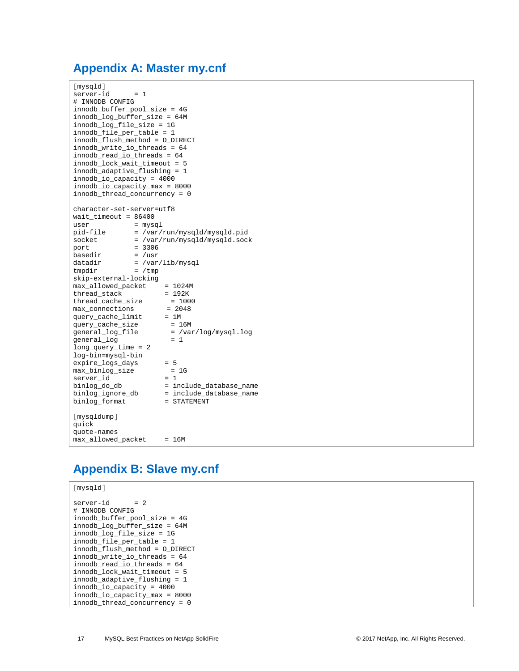## <span id="page-16-0"></span>**Appendix A: Master my.cnf**

```
[mysqld]
server-id = 1# INNODB CONFIG
innodb_buffer_pool_size = 4G
innodb_log_buffer_size = 64M
innodb_log_file_size = 1G
innodb_file_per_table = 1
innodb_flush_method = O_DIRECT
innodb_write_io_threads = 64
innodb_read_io_threads = 64
innodb_lock_wait_timeout = 5
innodb_adaptive_flushing = 1
innodb_io_capacity = 4000
innodb_io_capacity_max = 8000
innodb_thread_concurrency = 0
character-set-server=utf8
wait_timeout = 86400<br>user = mysql
user<br>pid-file<br>socket
pid-file = /var/run/mysqld/mysqld.pid
socket = /var/run/mysqld/mysqld.sock
port = 3306<br>basedir = /usrbasedir<br>datadir
datadir = /var/lib/mysql<br>tmpdir = /tmp= /tmpskip-external-locking
max_allowed_packet = 1024M<br>thread_stack = 192K
thread\_stack = 192K<br>thread\_cache\_size = 1000thread\_cache\_size = 100<br>max_connections = 2048
max\_connections = 20<br>query_cache_limit = 1M
query_cache_limit
query_cache_size<br>general_log_file
                        = \ln<br>= 16M<br>= /var/log/mysql.log<br>- 1
general_log = 1
long_query_time = 2
log-bin=mysql-bin
expire_logs_days = 5<br>max_binlog_size = 1G
\begin{array}{lll} \text{max\_binlog\_size} & = & \text{if} \\ \text{server\_id} & = & 1 \end{array}server_id = 1
binlog_do_db = include_database_name
binlog_ignore_db = include_database_name
binlog_format = STATEMENT
[mysqldump]
quick
quote-names
max_allowed_packet = 16M
```
# <span id="page-16-1"></span>**Appendix B: Slave my.cnf**

```
[mysqld]
```

```
server-id = 2# INNODB CONFIG
innodb_buffer_pool_size = 4G
\frac{1}{\log \left( \frac{1}{\log \left( \frac{1}{\log \left( \frac{1}{\log \left( \frac{1}{\log \left( \frac{1}{\log \left( \frac{1}{\log \left( \frac{1}{\log \left( \frac{1}{\log \left( \frac{1}{\log \left( \frac{1}{\log \left( \frac{1}{\log \left( \frac{1}{\log \left( \frac{1}{\log \left( \frac{1}{\log \left( \frac{1}{\log \left( \frac{1}{\log \left( \frac{1}{\log \left( \frac{1}{\log \left( \frac{1}{\log \left( \frac{1}{\log \left( \frac{1}{\log \left(innodb_log_file_size = 1G
innodb_file_per_table = 1
innodb_flush_method = O_DIRECT
innodb_write_io_threads = 64
innodb_read_io_threads = 64
innodb_lock_wait_timeout = 5
innodb_adaptive_flushing = 1
innodb_io_capacity = 4000
innodb_io_capacity_max = 8000
innodb_thread_concurrency = 0
```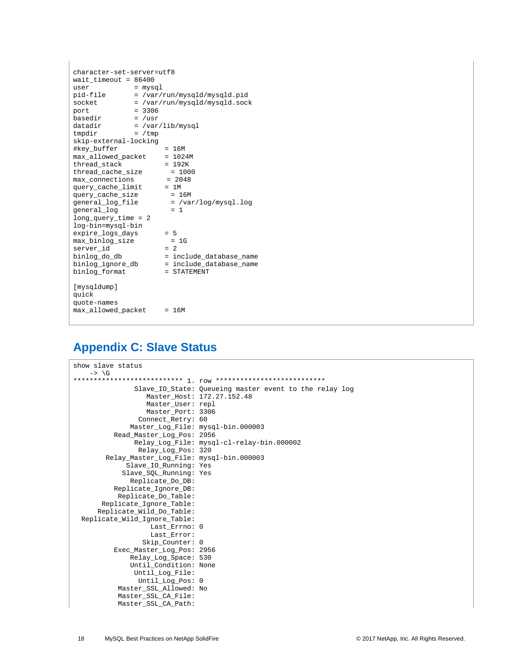| character-set-server=utf8<br>wait timeout = $86400$<br>user<br>pid-file<br>socket<br>port<br>basedir<br>datadir<br>tmpdir                                                                                                                                                                                      | = mysql<br>$= 3306$<br>$=$ /usr<br>$= /tmp$ | = /var/run/mysqld/mysqld.pid<br>= /var/run/mysqld/mysqld.sock<br>= /var/lib/mysql                                                                                                                      |  |  |  |
|----------------------------------------------------------------------------------------------------------------------------------------------------------------------------------------------------------------------------------------------------------------------------------------------------------------|---------------------------------------------|--------------------------------------------------------------------------------------------------------------------------------------------------------------------------------------------------------|--|--|--|
| skip-external-locking<br>#key_buffer<br>$= 16M$                                                                                                                                                                                                                                                                |                                             |                                                                                                                                                                                                        |  |  |  |
| max allowed packet<br>thread stack<br>thread cache size<br>max connections<br>query_cache_limit<br>query_cache_size<br>general_log_file<br>general_log<br>$long_$ query_time = 2<br>log-bin=mysql-bin<br>expire_logs_days<br>max binlog size<br>server_id<br>binlog_do_db<br>binlog_ignore_db<br>binlog_format |                                             | $= 1024M$<br>$= 192K$<br>$= 1000$<br>$= 2048$<br>$= 1M$<br>$= 16M$<br>$=$ /var/log/mysql.log<br>$= 1$<br>$= 5$<br>$= 1G$<br>$= 2$<br>= include_database_name<br>= include_database_name<br>= STATEMENT |  |  |  |
| [mysqldump]<br>quick<br>quote-names<br>max_allowed_packet                                                                                                                                                                                                                                                      |                                             | $= 16M$                                                                                                                                                                                                |  |  |  |

# <span id="page-17-0"></span>**Appendix C: Slave Status**

```
show slave status
    -> \G
*************************** 1. row ***************************
               Slave_IO_State: Queueing master event to the relay log
                Master_Host: 172.27.152.48
                 Master_User: repl
                 Master_Port: 3306
               Connect_Retry: 60
             Master_Log_File: mysql-bin.000003
         Read_Master_Log_Pos: 2956
               Relay_Log_File: mysql-cl-relay-bin.000002
               Relay_Log_Pos: 320
       Relay_Master_Log_File: mysql-bin.000003
             Slave_IO_Running: Yes
            Slave_SQL_Running: Yes
             Replicate_Do_DB:
         Replicate_Ignore_DB:
           Replicate_Do_Table:
       Replicate_Ignore_Table:
     Replicate_Wild_Do_Table:
 Replicate_Wild_Ignore_Table:
                   Last_Errno: 0
                   Last_Error:
                 Skip_Counter: 0
         Exec_Master_Log_Pos: 2956
             Relay_Log_Space: 530
             Until_Condition: None
               Until_Log_File:
               Until_Log_Pos: 0
           Master_SSL_Allowed: No
           Master_SSL_CA_File:
           Master_SSL_CA_Path:
```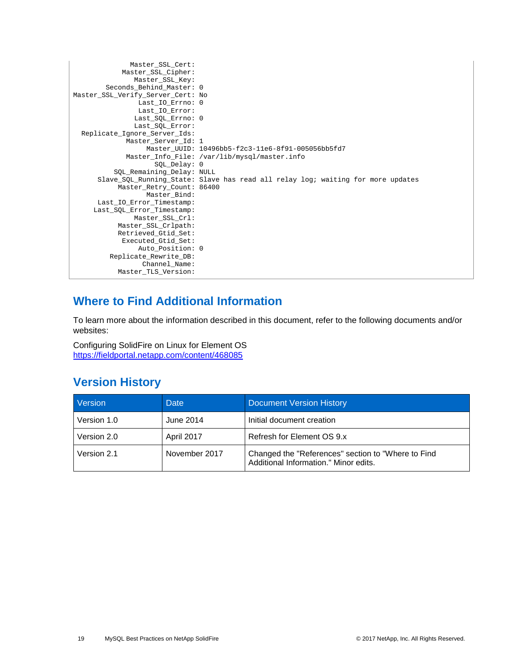```
Master_SSL_Cert:
           Master_SSL_Cipher:
              Master_SSL_Key:
        Seconds_Behind_Master: 0
Master_SSL_Verify_Server_Cert: No
               Last_IO_Errno: 0
               Last_IO_Error:
               Last_SQL_Errno: 0
               Last_SQL_Error:
  Replicate_Ignore_Server_Ids:
             Master_Server_Id: 1
                 Master_UUID: 10496bb5-f2c3-11e6-8f91-005056bb5fd7
             Master_Info_File: /var/lib/mysql/master.info
                   SQL_Delay: 0
         SQL_Remaining_Delay: NULL
      Slave_SQL_Running_State: Slave has read all relay log; waiting for more updates
           Master_Retry_Count: 86400
                 Master_Bind:
     Last_IO_Error_Timestamp:
      Last_SQL_Error_Timestamp:
               Master_SSL_Crl:
           Master_SSL_Crlpath:
           Retrieved_Gtid_Set:
           Executed_Gtid_Set:
               Auto_Position: 0
          Replicate_Rewrite_DB:
                 Channel_Name:
           Master_TLS_Version:
```
# <span id="page-18-0"></span>**Where to Find Additional Information**

To learn more about the information described in this document, refer to the following documents and/or websites:

Configuring SolidFire on Linux for Element OS <https://fieldportal.netapp.com/content/468085>

## <span id="page-18-1"></span>**Version History**

| Version     | Date          | <b>Document Version History</b>                                                             |
|-------------|---------------|---------------------------------------------------------------------------------------------|
| Version 1.0 | June 2014     | Initial document creation                                                                   |
| Version 2.0 | April 2017    | Refresh for Element OS 9.x                                                                  |
| Version 2.1 | November 2017 | Changed the "References" section to "Where to Find<br>Additional Information." Minor edits. |